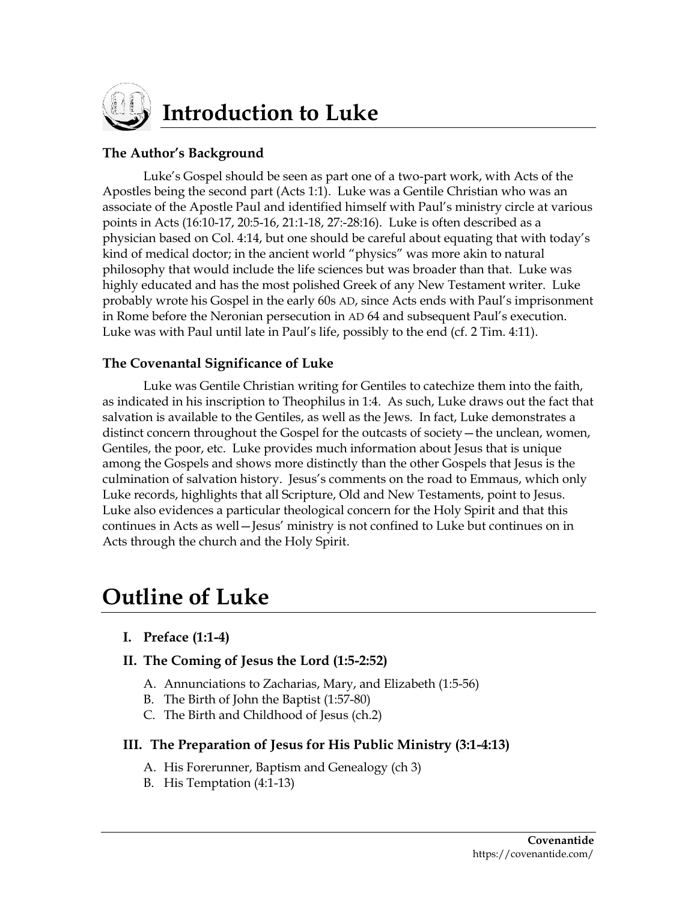

# **Introduction to Luke**

#### **The Author's Background**

Luke's Gospel should be seen as part one of a two-part work, with Acts of the Apostles being the second part (Acts 1:1). Luke was a Gentile Christian who was an associate of the Apostle Paul and identified himself with Paul's ministry circle at various points in Acts (16:10-17, 20:5-16, 21:1-18, 27:-28:16). Luke is often described as a physician based on Col. 4:14, but one should be careful about equating that with today's kind of medical doctor; in the ancient world "physics" was more akin to natural philosophy that would include the life sciences but was broader than that. Luke was highly educated and has the most polished Greek of any New Testament writer. Luke probably wrote his Gospel in the early 60s AD, since Acts ends with Paul's imprisonment in Rome before the Neronian persecution in AD 64 and subsequent Paul's execution. Luke was with Paul until late in Paul's life, possibly to the end (cf. 2 Tim. 4:11).

## **The Covenantal Significance of Luke**

Luke was Gentile Christian writing for Gentiles to catechize them into the faith, as indicated in his inscription to Theophilus in 1:4. As such, Luke draws out the fact that salvation is available to the Gentiles, as well as the Jews. In fact, Luke demonstrates a distinct concern throughout the Gospel for the outcasts of society—the unclean, women, Gentiles, the poor, etc. Luke provides much information about Jesus that is unique among the Gospels and shows more distinctly than the other Gospels that Jesus is the culmination of salvation history. Jesus's comments on the road to Emmaus, which only Luke records, highlights that all Scripture, Old and New Testaments, point to Jesus. Luke also evidences a particular theological concern for the Holy Spirit and that this continues in Acts as well—Jesus' ministry is not confined to Luke but continues on in Acts through the church and the Holy Spirit.

# **Outline of Luke**

- **I. Preface (1:1-4)**
- **II. The Coming of Jesus the Lord (1:5-2:52)**
	- A. Annunciations to Zacharias, Mary, and Elizabeth (1:5-56)
	- B. The Birth of John the Baptist (1:57-80)
	- C. The Birth and Childhood of Jesus (ch.2)

#### **III. The Preparation of Jesus for His Public Ministry (3:1-4:13)**

- A. His Forerunner, Baptism and Genealogy (ch 3)
- B. His Temptation (4:1-13)